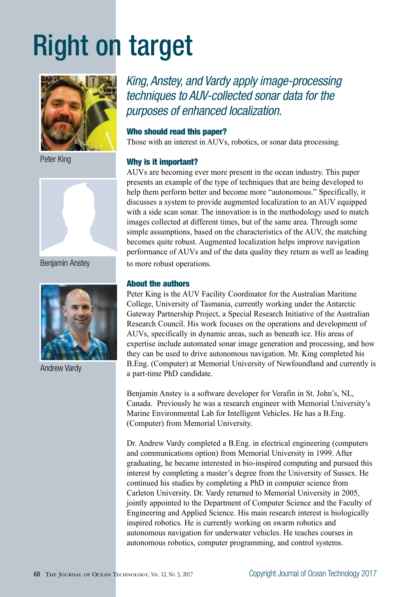# Right on target



Peter King



Benjamin Anstey



Andrew Vardy

*King, Anstey, and Vardy apply image-processing techniques to AUV-collected sonar data for the purposes of enhanced localization.*

# Who should read this paper?

Those with an interest in AUVs, robotics, or sonar data processing.

# Why is it important?

AUVs are becoming ever more present in the ocean industry. This paper presents an example of the type of techniques that are being developed to help them perform better and become more "autonomous." Specifically, it discusses a system to provide augmented localization to an AUV equipped with a side scan sonar. The innovation is in the methodology used to match images collected at different times, but of the same area. Through some simple assumptions, based on the characteristics of the AUV, the matching becomes quite robust. Augmented localization helps improve navigation performance of AUVs and of the data quality they return as well as leading to more robust operations.

# About the authors

Peter King is the AUV Facility Coordinator for the Australian Maritime College, University of Tasmania, currently working under the Antarctic Gateway Partnership Project, a Special Research Initiative of the Australian Research Council. His work focuses on the operations and development of AUVs, specifically in dynamic areas, such as beneath ice. His areas of expertise include automated sonar image generation and processing, and how they can be used to drive autonomous navigation. Mr. King completed his B.Eng. (Computer) at Memorial University of Newfoundland and currently is a part-time PhD candidate.

Benjamin Anstey is a software developer for Verafin in St. John's, NL, Canada. Previously he was a research engineer with Memorial University's Marine Environmental Lab for Intelligent Vehicles. He has a B.Eng. (Computer) from Memorial University.

Dr. Andrew Vardy completed a B.Eng. in electrical engineering (computers and communications option) from Memorial University in 1999. After graduating, he became interested in bio-inspired computing and pursued this interest by completing a master's degree from the University of Sussex. He continued his studies by completing a PhD in computer science from Carleton University. Dr. Vardy returned to Memorial University in 2005, jointly appointed to the Department of Computer Science and the Faculty of Engineering and Applied Science. His main research interest is biologically inspired robotics. He is currently working on swarm robotics and autonomous navigation for underwater vehicles. He teaches courses in autonomous robotics, computer programming, and control systems.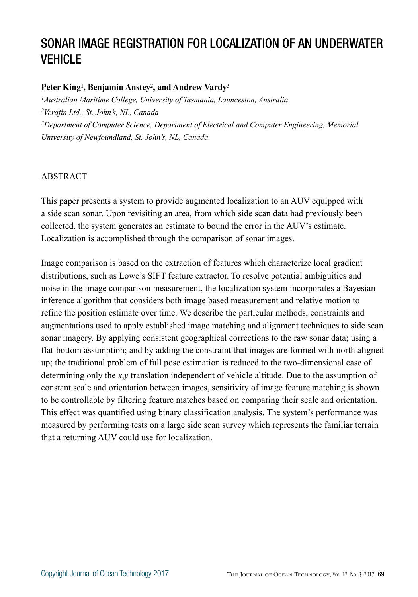# SONAR IMAGE REGISTRATION FOR LOCALIZATION OF AN UNDERWATER VEHICLE

# **Peter King1, Benjamin Anstey2, and Andrew Vardy3**

*1Australian Maritime College, University of Tasmania, Launceston, Australia 2Verafin Ltd., St. John's, NL, Canada 3Department of Computer Science, Department of Electrical and Computer Engineering, Memorial University of Newfoundland, St. John's, NL, Canada*

# ABSTRACT

This paper presents a system to provide augmented localization to an AUV equipped with a side scan sonar. Upon revisiting an area, from which side scan data had previously been collected, the system generates an estimate to bound the error in the AUV's estimate. Localization is accomplished through the comparison of sonar images.

Image comparison is based on the extraction of features which characterize local gradient distributions, such as Lowe's SIFT feature extractor. To resolve potential ambiguities and noise in the image comparison measurement, the localization system incorporates a Bayesian inference algorithm that considers both image based measurement and relative motion to refine the position estimate over time. We describe the particular methods, constraints and augmentations used to apply established image matching and alignment techniques to side scan sonar imagery. By applying consistent geographical corrections to the raw sonar data; using a flat-bottom assumption; and by adding the constraint that images are formed with north aligned up; the traditional problem of full pose estimation is reduced to the two-dimensional case of determining only the *x*,*y* translation independent of vehicle altitude. Due to the assumption of constant scale and orientation between images, sensitivity of image feature matching is shown to be controllable by filtering feature matches based on comparing their scale and orientation. This effect was quantified using binary classification analysis. The system's performance was measured by performing tests on a large side scan survey which represents the familiar terrain that a returning AUV could use for localization.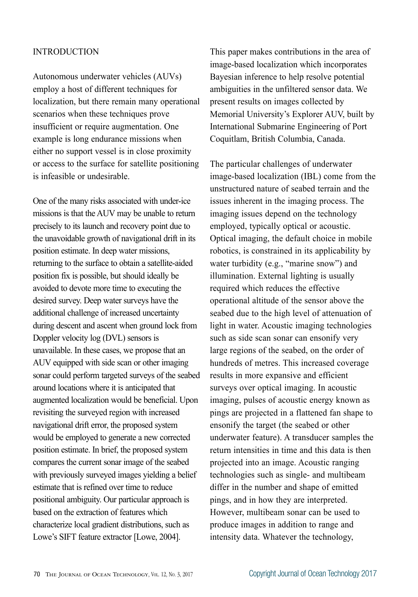# INTRODUCTION

Autonomous underwater vehicles (AUVs) employ a host of different techniques for localization, but there remain many operational scenarios when these techniques prove insufficient or require augmentation. One example is long endurance missions when either no support vessel is in close proximity or access to the surface for satellite positioning is infeasible or undesirable.

One of the many risks associated with under-ice missions is that the AUV may be unable to return precisely to its launch and recovery point due to the unavoidable growth of navigational drift in its position estimate. In deep water missions, returning to the surface to obtain a satellite-aided position fix is possible, but should ideally be avoided to devote more time to executing the desired survey. Deep water surveys have the additional challenge of increased uncertainty during descent and ascent when ground lock from Doppler velocity log (DVL) sensors is unavailable. In these cases, we propose that an AUV equipped with side scan or other imaging sonar could perform targeted surveys of the seabed around locations where it is anticipated that augmented localization would be beneficial. Upon revisiting the surveyed region with increased navigational drift error, the proposed system would be employed to generate a new corrected position estimate. In brief, the proposed system compares the current sonar image of the seabed with previously surveyed images yielding a belief estimate that is refined over time to reduce positional ambiguity. Our particular approach is based on the extraction of features which characterize local gradient distributions, such as Lowe's SIFT feature extractor [Lowe, 2004].

This paper makes contributions in the area of image-based localization which incorporates Bayesian inference to help resolve potential ambiguities in the unfiltered sensor data. We present results on images collected by Memorial University's Explorer AUV, built by International Submarine Engineering of Port Coquitlam, British Columbia, Canada.

The particular challenges of underwater image-based localization (IBL) come from the unstructured nature of seabed terrain and the issues inherent in the imaging process. The imaging issues depend on the technology employed, typically optical or acoustic. Optical imaging, the default choice in mobile robotics, is constrained in its applicability by water turbidity (e.g., "marine snow") and illumination. External lighting is usually required which reduces the effective operational altitude of the sensor above the seabed due to the high level of attenuation of light in water. Acoustic imaging technologies such as side scan sonar can ensonify very large regions of the seabed, on the order of hundreds of metres. This increased coverage results in more expansive and efficient surveys over optical imaging. In acoustic imaging, pulses of acoustic energy known as pings are projected in a flattened fan shape to ensonify the target (the seabed or other underwater feature). A transducer samples the return intensities in time and this data is then projected into an image. Acoustic ranging technologies such as single- and multibeam differ in the number and shape of emitted pings, and in how they are interpreted. However, multibeam sonar can be used to produce images in addition to range and intensity data. Whatever the technology,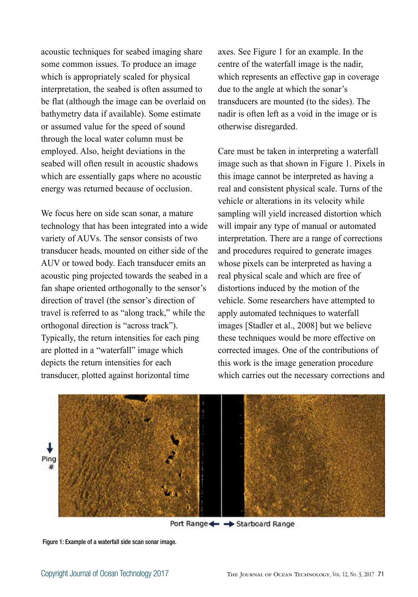acoustic techniques for seabed imaging share some common issues. To produce an image which is appropriately scaled for physical interpretation, the seabed is often assumed to be flat (although the image can be overlaid on bathymetry data if available). Some estimate or assumed value for the speed of sound through the local water column must be employed. Also, height deviations in the seabed will often result in acoustic shadows which are essentially gaps where no acoustic energy was returned because of occlusion.

We focus here on side scan sonar, a mature technology that has been integrated into a wide variety of AUVs. The sensor consists of two transducer heads, mounted on either side of the AUV or towed body. Each transducer emits an acoustic ping projected towards the seabed in a fan shape oriented orthogonally to the sensor's direction of travel (the sensor's direction of travel is referred to as "along track," while the orthogonal direction is "across track"). Typically, the return intensities for each ping are plotted in a "waterfall" image which depicts the return intensities for each transducer, plotted against horizontal time

axes. See Figure 1 for an example. In the centre of the waterfall image is the nadir, which represents an effective gap in coverage due to the angle at which the sonar's transducers are mounted (to the sides). The nadir is often left as a void in the image or is otherwise disregarded.

Care must be taken in interpreting a waterfall image such as that shown in Figure 1. Pixels in this image cannot be interpreted as having a real and consistent physical scale. Turns of the vehicle or alterations in its velocity while sampling will yield increased distortion which will impair any type of manual or automated interpretation. There are a range of corrections and procedures required to generate images whose pixels can be interpreted as having a real physical scale and which are free of distortions induced by the motion of the vehicle. Some researchers have attempted to apply automated techniques to waterfall images [Stadler et al., 2008] but we believe these techniques would be more effective on corrected images. One of the contributions of this work is the image generation procedure which carries out the necessary corrections and



Port Range <= > Starboard Range

Figure 1: Example of a waterfall side scan sonar image.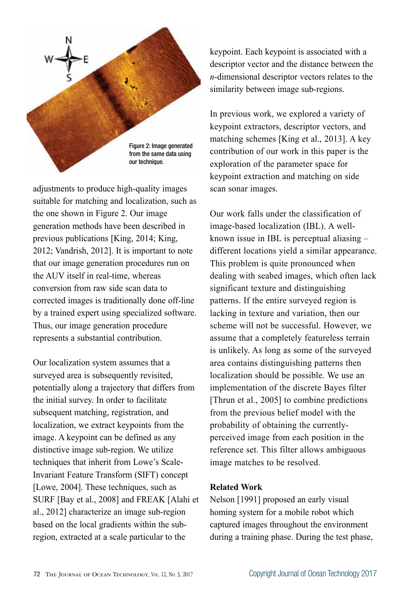

adjustments to produce high-quality images suitable for matching and localization, such as the one shown in Figure 2. Our image generation methods have been described in previous publications [King, 2014; King, 2012; Vandrish, 2012]. It is important to note that our image generation procedures run on the AUV itself in real-time, whereas conversion from raw side scan data to corrected images is traditionally done off-line by a trained expert using specialized software. Thus, our image generation procedure represents a substantial contribution.

Our localization system assumes that a surveyed area is subsequently revisited, potentially along a trajectory that differs from the initial survey. In order to facilitate subsequent matching, registration, and localization, we extract keypoints from the image. A keypoint can be defined as any distinctive image sub-region. We utilize techniques that inherit from Lowe's Scale-Invariant Feature Transform (SIFT) concept [Lowe, 2004]. These techniques, such as SURF [Bay et al., 2008] and FREAK [Alahi et al., 2012] characterize an image sub-region based on the local gradients within the subregion, extracted at a scale particular to the

keypoint. Each keypoint is associated with a descriptor vector and the distance between the *n*-dimensional descriptor vectors relates to the similarity between image sub-regions.

In previous work, we explored a variety of keypoint extractors, descriptor vectors, and matching schemes [King et al., 2013]. A key contribution of our work in this paper is the exploration of the parameter space for keypoint extraction and matching on side scan sonar images.

Our work falls under the classification of image-based localization (IBL). A wellknown issue in IBL is perceptual aliasing – different locations yield a similar appearance. This problem is quite pronounced when dealing with seabed images, which often lack significant texture and distinguishing patterns. If the entire surveyed region is lacking in texture and variation, then our scheme will not be successful. However, we assume that a completely featureless terrain is unlikely. As long as some of the surveyed area contains distinguishing patterns then localization should be possible. We use an implementation of the discrete Bayes filter [Thrun et al., 2005] to combine predictions from the previous belief model with the probability of obtaining the currentlyperceived image from each position in the reference set. This filter allows ambiguous image matches to be resolved.

# **Related Work**

Nelson [1991] proposed an early visual homing system for a mobile robot which captured images throughout the environment during a training phase. During the test phase,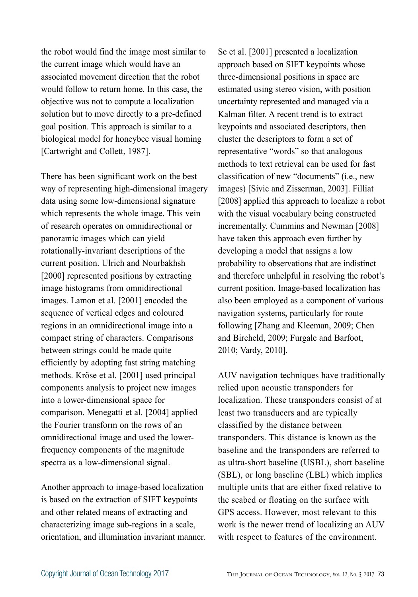the robot would find the image most similar to the current image which would have an associated movement direction that the robot would follow to return home. In this case, the objective was not to compute a localization solution but to move directly to a pre-defined goal position. This approach is similar to a biological model for honeybee visual homing [Cartwright and Collett, 1987].

There has been significant work on the best way of representing high-dimensional imagery data using some low-dimensional signature which represents the whole image. This vein of research operates on omnidirectional or panoramic images which can yield rotationally-invariant descriptions of the current position. Ulrich and Nourbakhsh [2000] represented positions by extracting image histograms from omnidirectional images. Lamon et al. [2001] encoded the sequence of vertical edges and coloured regions in an omnidirectional image into a compact string of characters. Comparisons between strings could be made quite efficiently by adopting fast string matching methods. Kröse et al. [2001] used principal components analysis to project new images into a lower-dimensional space for comparison. Menegatti et al. [2004] applied the Fourier transform on the rows of an omnidirectional image and used the lowerfrequency components of the magnitude spectra as a low-dimensional signal.

Another approach to image-based localization is based on the extraction of SIFT keypoints and other related means of extracting and characterizing image sub-regions in a scale, orientation, and illumination invariant manner.

Se et al. [2001] presented a localization approach based on SIFT keypoints whose three-dimensional positions in space are estimated using stereo vision, with position uncertainty represented and managed via a Kalman filter. A recent trend is to extract keypoints and associated descriptors, then cluster the descriptors to form a set of representative "words" so that analogous methods to text retrieval can be used for fast classification of new "documents" (i.e., new images) [Sivic and Zisserman, 2003]. Filliat [2008] applied this approach to localize a robot with the visual vocabulary being constructed incrementally. Cummins and Newman [2008] have taken this approach even further by developing a model that assigns a low probability to observations that are indistinct and therefore unhelpful in resolving the robot's current position. Image-based localization has also been employed as a component of various navigation systems, particularly for route following [Zhang and Kleeman, 2009; Chen and Bircheld, 2009; Furgale and Barfoot, 2010; Vardy, 2010].

AUV navigation techniques have traditionally relied upon acoustic transponders for localization. These transponders consist of at least two transducers and are typically classified by the distance between transponders. This distance is known as the baseline and the transponders are referred to as ultra-short baseline (USBL), short baseline (SBL), or long baseline (LBL) which implies multiple units that are either fixed relative to the seabed or floating on the surface with GPS access. However, most relevant to this work is the newer trend of localizing an AUV with respect to features of the environment.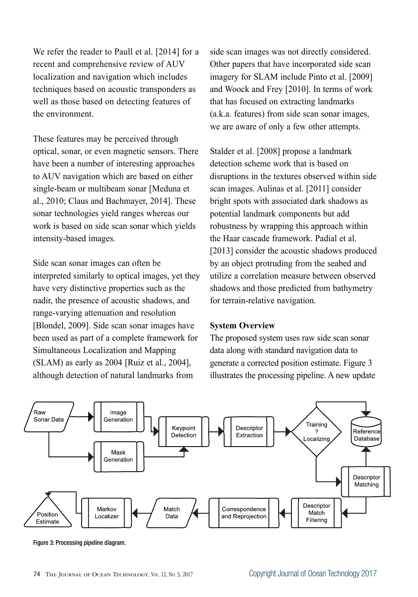We refer the reader to Paull et al. [2014] for a recent and comprehensive review of AUV localization and navigation which includes techniques based on acoustic transponders as well as those based on detecting features of the environment.

These features may be perceived through optical, sonar, or even magnetic sensors. There have been a number of interesting approaches to AUV navigation which are based on either single-beam or multibeam sonar [Meduna et al., 2010; Claus and Bachmayer, 2014]. These sonar technologies yield ranges whereas our work is based on side scan sonar which yields intensity-based images.

Side scan sonar images can often be interpreted similarly to optical images, yet they have very distinctive properties such as the nadir, the presence of acoustic shadows, and range-varying attenuation and resolution [Blondel, 2009]. Side scan sonar images have been used as part of a complete framework for Simultaneous Localization and Mapping (SLAM) as early as 2004 [Ruiz et al., 2004], although detection of natural landmarks from

side scan images was not directly considered. Other papers that have incorporated side scan imagery for SLAM include Pinto et al. [2009] and Woock and Frey [2010]. In terms of work that has focused on extracting landmarks (a.k.a. features) from side scan sonar images, we are aware of only a few other attempts.

Stalder et al. [2008] propose a landmark detection scheme work that is based on disruptions in the textures observed within side scan images. Aulinas et al. [2011] consider bright spots with associated dark shadows as potential landmark components but add robustness by wrapping this approach within the Haar cascade framework. Padial et al. [2013] consider the acoustic shadows produced by an object protruding from the seabed and utilize a correlation measure between observed shadows and those predicted from bathymetry for terrain-relative navigation.

#### **System Overview**

The proposed system uses raw side scan sonar data along with standard navigation data to generate a corrected position estimate. Figure 3 illustrates the processing pipeline. A new update



Figure 3: Processing pipeline diagram.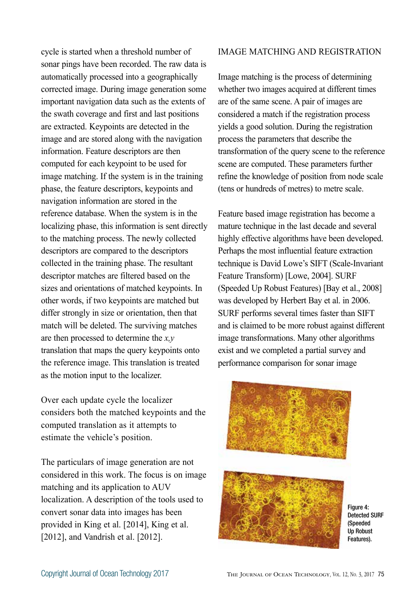cycle is started when a threshold number of sonar pings have been recorded. The raw data is automatically processed into a geographically corrected image. During image generation some important navigation data such as the extents of the swath coverage and first and last positions are extracted. Keypoints are detected in the image and are stored along with the navigation information. Feature descriptors are then computed for each keypoint to be used for image matching. If the system is in the training phase, the feature descriptors, keypoints and navigation information are stored in the reference database. When the system is in the localizing phase, this information is sent directly to the matching process. The newly collected descriptors are compared to the descriptors collected in the training phase. The resultant descriptor matches are filtered based on the sizes and orientations of matched keypoints. In other words, if two keypoints are matched but differ strongly in size or orientation, then that match will be deleted. The surviving matches are then processed to determine the *x,y* translation that maps the query keypoints onto the reference image. This translation is treated as the motion input to the localizer.

Over each update cycle the localizer considers both the matched keypoints and the computed translation as it attempts to estimate the vehicle's position.

The particulars of image generation are not considered in this work. The focus is on image matching and its application to AUV localization. A description of the tools used to convert sonar data into images has been provided in King et al. [2014], King et al. [2012], and Vandrish et al. [2012].

# IMAGE MATCHING AND REGISTRATION

Image matching is the process of determining whether two images acquired at different times are of the same scene. A pair of images are considered a match if the registration process yields a good solution. During the registration process the parameters that describe the transformation of the query scene to the reference scene are computed. These parameters further refine the knowledge of position from node scale (tens or hundreds of metres) to metre scale.

Feature based image registration has become a mature technique in the last decade and several highly effective algorithms have been developed. Perhaps the most influential feature extraction technique is David Lowe's SIFT (Scale-Invariant Feature Transform) [Lowe, 2004]. SURF (Speeded Up Robust Features) [Bay et al., 2008] was developed by Herbert Bay et al. in 2006. SURF performs several times faster than SIFT and is claimed to be more robust against different image transformations. Many other algorithms exist and we completed a partial survey and performance comparison for sonar image



Figure 4: Detected SURF (Speeded Up Robust Features).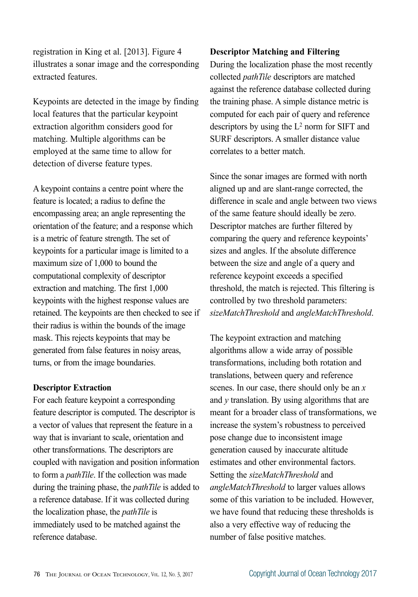registration in King et al. [2013]. Figure 4 illustrates a sonar image and the corresponding extracted features.

Keypoints are detected in the image by finding local features that the particular keypoint extraction algorithm considers good for matching. Multiple algorithms can be employed at the same time to allow for detection of diverse feature types.

A keypoint contains a centre point where the feature is located; a radius to define the encompassing area; an angle representing the orientation of the feature; and a response which is a metric of feature strength. The set of keypoints for a particular image is limited to a maximum size of 1,000 to bound the computational complexity of descriptor extraction and matching. The first 1,000 keypoints with the highest response values are retained. The keypoints are then checked to see if their radius is within the bounds of the image mask. This rejects keypoints that may be generated from false features in noisy areas, turns, or from the image boundaries.

#### **Descriptor Extraction**

For each feature keypoint a corresponding feature descriptor is computed. The descriptor is a vector of values that represent the feature in a way that is invariant to scale, orientation and other transformations. The descriptors are coupled with navigation and position information to form a *pathTile*. If the collection was made during the training phase, the *pathTile* is added to a reference database. If it was collected during the localization phase, the *pathTile* is immediately used to be matched against the reference database.

# **Descriptor Matching and Filtering**

During the localization phase the most recently collected *pathTile* descriptors are matched against the reference database collected during the training phase. A simple distance metric is computed for each pair of query and reference descriptors by using the L2 norm for SIFT and SURF descriptors. A smaller distance value correlates to a better match.

Since the sonar images are formed with north aligned up and are slant-range corrected, the difference in scale and angle between two views of the same feature should ideally be zero. Descriptor matches are further filtered by comparing the query and reference keypoints' sizes and angles. If the absolute difference between the size and angle of a query and reference keypoint exceeds a specified threshold, the match is rejected. This filtering is controlled by two threshold parameters: *sizeMatchThreshold* and *angleMatchThreshold*.

The keypoint extraction and matching algorithms allow a wide array of possible transformations, including both rotation and translations, between query and reference scenes. In our case, there should only be an *x* and *y* translation. By using algorithms that are meant for a broader class of transformations, we increase the system's robustness to perceived pose change due to inconsistent image generation caused by inaccurate altitude estimates and other environmental factors. Setting the *sizeMatchThreshold* and *angleMatchThreshold* to larger values allows some of this variation to be included. However, we have found that reducing these thresholds is also a very effective way of reducing the number of false positive matches.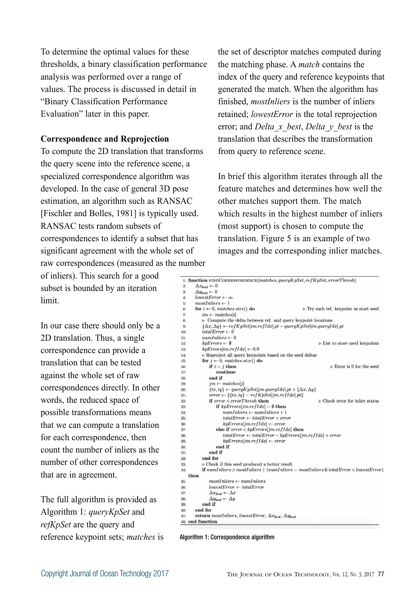To determine the optimal values for these thresholds, a binary classification performance analysis was performed over a range of values. The process is discussed in detail in "Binary Classification Performance Evaluation" later in this paper.

# **Correspondence and Reprojection**

To compute the 2D translation that transforms the query scene into the reference scene, a specialized correspondence algorithm was developed. In the case of general 3D pose estimation, an algorithm such as RANSAC [Fischler and Bolles, 1981] is typically used. RANSAC tests random subsets of correspondences to identify a subset that has significant agreement with the whole set of raw correspondences (measured as the number

of inliers). This search for a good subset is bounded by an iteration limit.

In our case there should only be a 2D translation. Thus, a single correspondence can provide a translation that can be tested against the whole set of raw correspondences directly. In other words, the reduced space of possible transformations means that we can compute a translation for each correspondence, then count the number of inliers as the number of other correspondences that are in agreement.

The full algorithm is provided as Algorithm 1: *queryKpSet* and *refKpSet* are the query and reference keypoint sets; *matches* is

the set of descriptor matches computed during the matching phase. A *match* contains the index of the query and reference keypoints that generated the match. When the algorithm has finished, *mostInliers* is the number of inliers retained; *lowestError* is the total reprojection error; and *Delta\_x\_best*, *Delta\_y\_best* is the translation that describes the transformation from query to reference scene.

In brief this algorithm iterates through all the feature matches and determines how well the other matches support them. The match which results in the highest number of inliers (most support) is chosen to compute the translation. Figure 5 is an example of two images and the corresponding inlier matches.

| 1: function FINDCORRESPONDENCE(matches.queryKpSet,refKpSet,errorThresh)          |                                                                                                                                                                                                                                                                                                                                                                                                                                                                                                                                                                                                                                                                                                                                                                                                                                                                                                                                                                                     |
|----------------------------------------------------------------------------------|-------------------------------------------------------------------------------------------------------------------------------------------------------------------------------------------------------------------------------------------------------------------------------------------------------------------------------------------------------------------------------------------------------------------------------------------------------------------------------------------------------------------------------------------------------------------------------------------------------------------------------------------------------------------------------------------------------------------------------------------------------------------------------------------------------------------------------------------------------------------------------------------------------------------------------------------------------------------------------------|
| $\Delta x_{best} \leftarrow 0$                                                   |                                                                                                                                                                                                                                                                                                                                                                                                                                                                                                                                                                                                                                                                                                                                                                                                                                                                                                                                                                                     |
| $\Delta y_{best} \leftarrow 0$                                                   |                                                                                                                                                                                                                                                                                                                                                                                                                                                                                                                                                                                                                                                                                                                                                                                                                                                                                                                                                                                     |
| $lowestError \leftarrow \infty$                                                  |                                                                                                                                                                                                                                                                                                                                                                                                                                                                                                                                                                                                                                                                                                                                                                                                                                                                                                                                                                                     |
| $most Inliers \leftarrow 1$                                                      |                                                                                                                                                                                                                                                                                                                                                                                                                                                                                                                                                                                                                                                                                                                                                                                                                                                                                                                                                                                     |
| for $i \leftarrow 0$ , matches.size() do                                         | D Try each ref. keypoint as start seed                                                                                                                                                                                                                                                                                                                                                                                                                                                                                                                                                                                                                                                                                                                                                                                                                                                                                                                                              |
| $im \leftarrow matches[i]$                                                       |                                                                                                                                                                                                                                                                                                                                                                                                                                                                                                                                                                                                                                                                                                                                                                                                                                                                                                                                                                                     |
|                                                                                  |                                                                                                                                                                                                                                                                                                                                                                                                                                                                                                                                                                                                                                                                                                                                                                                                                                                                                                                                                                                     |
|                                                                                  |                                                                                                                                                                                                                                                                                                                                                                                                                                                                                                                                                                                                                                                                                                                                                                                                                                                                                                                                                                                     |
| $totalError \leftarrow 0$                                                        |                                                                                                                                                                                                                                                                                                                                                                                                                                                                                                                                                                                                                                                                                                                                                                                                                                                                                                                                                                                     |
| $numInliers \leftarrow 0$                                                        |                                                                                                                                                                                                                                                                                                                                                                                                                                                                                                                                                                                                                                                                                                                                                                                                                                                                                                                                                                                     |
| $k$ pErrors $\leftarrow$ 0                                                       | <b>D</b> List to store used keypoints                                                                                                                                                                                                                                                                                                                                                                                                                                                                                                                                                                                                                                                                                                                                                                                                                                                                                                                                               |
| $k p E$ rrors $\left  \text{im.} \text{refI} \right  d x \right  \leftarrow 0.0$ |                                                                                                                                                                                                                                                                                                                                                                                                                                                                                                                                                                                                                                                                                                                                                                                                                                                                                                                                                                                     |
|                                                                                  |                                                                                                                                                                                                                                                                                                                                                                                                                                                                                                                                                                                                                                                                                                                                                                                                                                                                                                                                                                                     |
|                                                                                  |                                                                                                                                                                                                                                                                                                                                                                                                                                                                                                                                                                                                                                                                                                                                                                                                                                                                                                                                                                                     |
| if $i = j$ then                                                                  | $\triangleright$ Error is 0 for the seed                                                                                                                                                                                                                                                                                                                                                                                                                                                                                                                                                                                                                                                                                                                                                                                                                                                                                                                                            |
| continue                                                                         |                                                                                                                                                                                                                                                                                                                                                                                                                                                                                                                                                                                                                                                                                                                                                                                                                                                                                                                                                                                     |
| end if                                                                           |                                                                                                                                                                                                                                                                                                                                                                                                                                                                                                                                                                                                                                                                                                                                                                                                                                                                                                                                                                                     |
| $jm \leftarrow matches[j]$                                                       |                                                                                                                                                                                                                                                                                                                                                                                                                                                                                                                                                                                                                                                                                                                                                                                                                                                                                                                                                                                     |
|                                                                                  |                                                                                                                                                                                                                                                                                                                                                                                                                                                                                                                                                                                                                                                                                                                                                                                                                                                                                                                                                                                     |
|                                                                                  |                                                                                                                                                                                                                                                                                                                                                                                                                                                                                                                                                                                                                                                                                                                                                                                                                                                                                                                                                                                     |
| if error < errorThresh then                                                      | b Check error for inlier status                                                                                                                                                                                                                                                                                                                                                                                                                                                                                                                                                                                                                                                                                                                                                                                                                                                                                                                                                     |
| if kpErrors[jm.ref]dx] = $\emptyset$ then                                        |                                                                                                                                                                                                                                                                                                                                                                                                                                                                                                                                                                                                                                                                                                                                                                                                                                                                                                                                                                                     |
| $numInliers \leftarrow numInliers + 1$                                           |                                                                                                                                                                                                                                                                                                                                                                                                                                                                                                                                                                                                                                                                                                                                                                                                                                                                                                                                                                                     |
|                                                                                  |                                                                                                                                                                                                                                                                                                                                                                                                                                                                                                                                                                                                                                                                                                                                                                                                                                                                                                                                                                                     |
|                                                                                  |                                                                                                                                                                                                                                                                                                                                                                                                                                                                                                                                                                                                                                                                                                                                                                                                                                                                                                                                                                                     |
|                                                                                  |                                                                                                                                                                                                                                                                                                                                                                                                                                                                                                                                                                                                                                                                                                                                                                                                                                                                                                                                                                                     |
|                                                                                  |                                                                                                                                                                                                                                                                                                                                                                                                                                                                                                                                                                                                                                                                                                                                                                                                                                                                                                                                                                                     |
|                                                                                  |                                                                                                                                                                                                                                                                                                                                                                                                                                                                                                                                                                                                                                                                                                                                                                                                                                                                                                                                                                                     |
| end if                                                                           |                                                                                                                                                                                                                                                                                                                                                                                                                                                                                                                                                                                                                                                                                                                                                                                                                                                                                                                                                                                     |
| end if                                                                           |                                                                                                                                                                                                                                                                                                                                                                                                                                                                                                                                                                                                                                                                                                                                                                                                                                                                                                                                                                                     |
| end for                                                                          |                                                                                                                                                                                                                                                                                                                                                                                                                                                                                                                                                                                                                                                                                                                                                                                                                                                                                                                                                                                     |
|                                                                                  |                                                                                                                                                                                                                                                                                                                                                                                                                                                                                                                                                                                                                                                                                                                                                                                                                                                                                                                                                                                     |
|                                                                                  |                                                                                                                                                                                                                                                                                                                                                                                                                                                                                                                                                                                                                                                                                                                                                                                                                                                                                                                                                                                     |
| then                                                                             |                                                                                                                                                                                                                                                                                                                                                                                                                                                                                                                                                                                                                                                                                                                                                                                                                                                                                                                                                                                     |
| $mostInliers \leftarrow numInliers$                                              |                                                                                                                                                                                                                                                                                                                                                                                                                                                                                                                                                                                                                                                                                                                                                                                                                                                                                                                                                                                     |
| $lowestError \leftarrow totalError$                                              |                                                                                                                                                                                                                                                                                                                                                                                                                                                                                                                                                                                                                                                                                                                                                                                                                                                                                                                                                                                     |
|                                                                                  |                                                                                                                                                                                                                                                                                                                                                                                                                                                                                                                                                                                                                                                                                                                                                                                                                                                                                                                                                                                     |
|                                                                                  |                                                                                                                                                                                                                                                                                                                                                                                                                                                                                                                                                                                                                                                                                                                                                                                                                                                                                                                                                                                     |
| ond if                                                                           |                                                                                                                                                                                                                                                                                                                                                                                                                                                                                                                                                                                                                                                                                                                                                                                                                                                                                                                                                                                     |
| end for                                                                          |                                                                                                                                                                                                                                                                                                                                                                                                                                                                                                                                                                                                                                                                                                                                                                                                                                                                                                                                                                                     |
|                                                                                  |                                                                                                                                                                                                                                                                                                                                                                                                                                                                                                                                                                                                                                                                                                                                                                                                                                                                                                                                                                                     |
| <sup>2</sup> : end function                                                      |                                                                                                                                                                                                                                                                                                                                                                                                                                                                                                                                                                                                                                                                                                                                                                                                                                                                                                                                                                                     |
|                                                                                  | > Compute the delta between ref. and query keypoint locations<br>$\{\Delta x, \Delta y\} \leftarrow refKpSet$ [im.ref Idx].pt – query KpSet[im.queryIdx].pt<br>> Reproject all query keypoints based on the seed deltas<br>for $j \leftarrow 0$ , matches.size() do<br>$\{tx, ty\} \leftarrow queryKpSet[jm.gueryIdx].pt + \{\Delta x, \Delta y\}$<br>$error \leftarrow \ \{tx, ty\} - refKpSet   jm.refIdx].pt\ $<br>$totalError \leftarrow totalError + error$<br>$k$ pErrors[jm.refIdx] $\leftarrow$ error<br>else if $error < kpErrors[jm.refIdx]$ then<br>$totalError \leftarrow totalError - kpErrors[im.refIdx] + error$<br>$k$ pErrors[jm.refIdx] $\leftarrow$ error<br>b Check if this seed produced a better result<br>if $numInliers > mostInliers$   $(numInliers = mostInliers & total Error < lowerError$<br>$\Delta x_{best} \leftarrow \Delta x$<br>$\Delta y_{best} \leftarrow \Delta y$<br>return mostInliers, lowestError, $\Delta x_{best}$ , $\Delta y_{best}$ |

Algorithm 1: Correspondence algorithm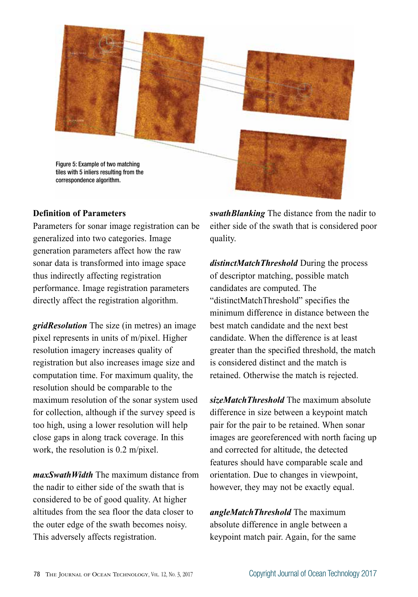

# **Definition of Parameters**

Parameters for sonar image registration can be generalized into two categories. Image generation parameters affect how the raw sonar data is transformed into image space thus indirectly affecting registration performance. Image registration parameters directly affect the registration algorithm.

*gridResolution* The size (in metres) an image pixel represents in units of m/pixel. Higher resolution imagery increases quality of registration but also increases image size and computation time. For maximum quality, the resolution should be comparable to the maximum resolution of the sonar system used for collection, although if the survey speed is too high, using a lower resolution will help close gaps in along track coverage. In this work, the resolution is 0.2 m/pixel.

*maxSwathWidth* The maximum distance from the nadir to either side of the swath that is considered to be of good quality. At higher altitudes from the sea floor the data closer to the outer edge of the swath becomes noisy. This adversely affects registration.

*swathBlanking* The distance from the nadir to either side of the swath that is considered poor quality.

*distinctMatchThreshold* During the process of descriptor matching, possible match candidates are computed. The "distinctMatchThreshold" specifies the minimum difference in distance between the best match candidate and the next best candidate. When the difference is at least greater than the specified threshold, the match is considered distinct and the match is retained. Otherwise the match is rejected.

*sizeMatchThreshold* The maximum absolute difference in size between a keypoint match pair for the pair to be retained. When sonar images are georeferenced with north facing up and corrected for altitude, the detected features should have comparable scale and orientation. Due to changes in viewpoint, however, they may not be exactly equal.

*angleMatchThreshold* The maximum absolute difference in angle between a keypoint match pair. Again, for the same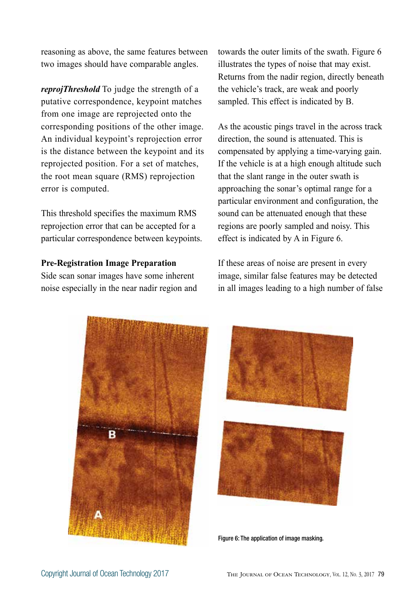reasoning as above, the same features between two images should have comparable angles.

*reprojThreshold* To judge the strength of a putative correspondence, keypoint matches from one image are reprojected onto the corresponding positions of the other image. An individual keypoint's reprojection error is the distance between the keypoint and its reprojected position. For a set of matches, the root mean square (RMS) reprojection error is computed.

This threshold specifies the maximum RMS reprojection error that can be accepted for a particular correspondence between keypoints.

#### **Pre-Registration Image Preparation**

Side scan sonar images have some inherent noise especially in the near nadir region and towards the outer limits of the swath. Figure 6 illustrates the types of noise that may exist. Returns from the nadir region, directly beneath the vehicle's track, are weak and poorly sampled. This effect is indicated by B.

As the acoustic pings travel in the across track direction, the sound is attenuated. This is compensated by applying a time-varying gain. If the vehicle is at a high enough altitude such that the slant range in the outer swath is approaching the sonar's optimal range for a particular environment and configuration, the sound can be attenuated enough that these regions are poorly sampled and noisy. This effect is indicated by A in Figure 6.

If these areas of noise are present in every image, similar false features may be detected in all images leading to a high number of false





Figure 6: The application of image masking.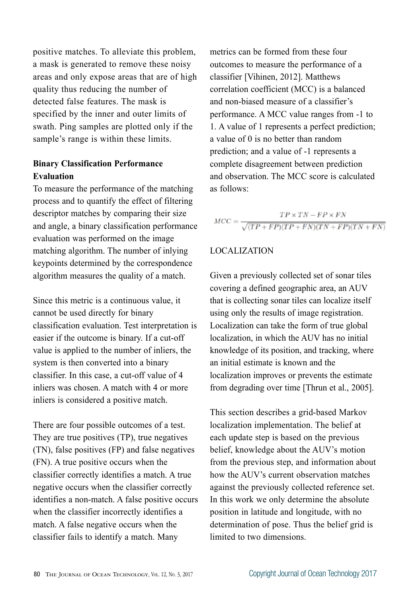positive matches. To alleviate this problem, a mask is generated to remove these noisy areas and only expose areas that are of high quality thus reducing the number of detected false features. The mask is specified by the inner and outer limits of swath. Ping samples are plotted only if the sample's range is within these limits.

# **Binary Classification Performance Evaluation**

To measure the performance of the matching process and to quantify the effect of filtering descriptor matches by comparing their size and angle, a binary classification performance evaluation was performed on the image matching algorithm. The number of inlying keypoints determined by the correspondence algorithm measures the quality of a match.

Since this metric is a continuous value, it cannot be used directly for binary classification evaluation. Test interpretation is easier if the outcome is binary. If a cut-off value is applied to the number of inliers, the system is then converted into a binary classifier. In this case, a cut-off value of 4 inliers was chosen. A match with 4 or more inliers is considered a positive match.

There are four possible outcomes of a test. They are true positives (TP), true negatives (TN), false positives (FP) and false negatives (FN). A true positive occurs when the classifier correctly identifies a match. A true negative occurs when the classifier correctly identifies a non-match. A false positive occurs when the classifier incorrectly identifies a match. A false negative occurs when the classifier fails to identify a match. Many

metrics can be formed from these four outcomes to measure the performance of a classifier [Vihinen, 2012]. Matthews correlation coefficient (MCC) is a balanced and non-biased measure of a classifier's performance. A MCC value ranges from -1 to 1. A value of 1 represents a perfect prediction; a value of 0 is no better than random prediction; and a value of -1 represents a complete disagreement between prediction and observation. The MCC score is calculated as follows:

$$
MCC = \frac{TP \times TN - FP \times FN}{\sqrt{(TP + FP)(TP + FN)(TN + FP)(TN + FN)}}
$$

# LOCALIZATION

Given a previously collected set of sonar tiles covering a defined geographic area, an AUV that is collecting sonar tiles can localize itself using only the results of image registration. Localization can take the form of true global localization, in which the AUV has no initial knowledge of its position, and tracking, where an initial estimate is known and the localization improves or prevents the estimate from degrading over time [Thrun et al., 2005].

This section describes a grid-based Markov localization implementation. The belief at each update step is based on the previous belief, knowledge about the AUV's motion from the previous step, and information about how the AUV's current observation matches against the previously collected reference set. In this work we only determine the absolute position in latitude and longitude, with no determination of pose. Thus the belief grid is limited to two dimensions.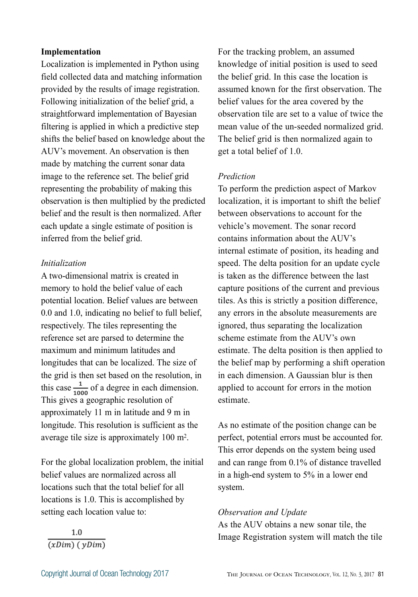#### **Implementation**

Localization is implemented in Python using field collected data and matching information provided by the results of image registration. Following initialization of the belief grid, a straightforward implementation of Bayesian filtering is applied in which a predictive step shifts the belief based on knowledge about the AUV's movement. An observation is then made by matching the current sonar data image to the reference set. The belief grid representing the probability of making this observation is then multiplied by the predicted belief and the result is then normalized. After each update a single estimate of position is inferred from the belief grid.

#### *Initialization*

A two-dimensional matrix is created in memory to hold the belief value of each potential location. Belief values are between 0.0 and 1.0, indicating no belief to full belief, respectively. The tiles representing the reference set are parsed to determine the maximum and minimum latitudes and longitudes that can be localized. The size of the grid is then set based on the resolution, in this case  $\frac{1}{1000}$  of a degree in each dimension. This gives a geographic resolution of approximately 11 m in latitude and 9 m in longitude. This resolution is sufficient as the average tile size is approximately 100 m2.

For the global localization problem, the initial belief values are normalized across all locations such that the total belief for all locations is 1.0. This is accomplished by setting each location value to:

For the tracking problem, an assumed knowledge of initial position is used to seed the belief grid. In this case the location is assumed known for the first observation. The belief values for the area covered by the observation tile are set to a value of twice the mean value of the un-seeded normalized grid. The belief grid is then normalized again to get a total belief of 1.0.

# *Prediction*

To perform the prediction aspect of Markov localization, it is important to shift the belief between observations to account for the vehicle's movement. The sonar record contains information about the AUV's internal estimate of position, its heading and speed. The delta position for an update cycle is taken as the difference between the last capture positions of the current and previous tiles. As this is strictly a position difference, any errors in the absolute measurements are ignored, thus separating the localization scheme estimate from the AUV's own estimate. The delta position is then applied to the belief map by performing a shift operation in each dimension. A Gaussian blur is then applied to account for errors in the motion estimate.

As no estimate of the position change can be perfect, potential errors must be accounted for. This error depends on the system being used and can range from 0.1% of distance travelled in a high-end system to 5% in a lower end system.

## *Observation and Update*

As the AUV obtains a new sonar tile, the Image Registration system will match the tile

1.0  $\overline{(xDim)(yDim)}$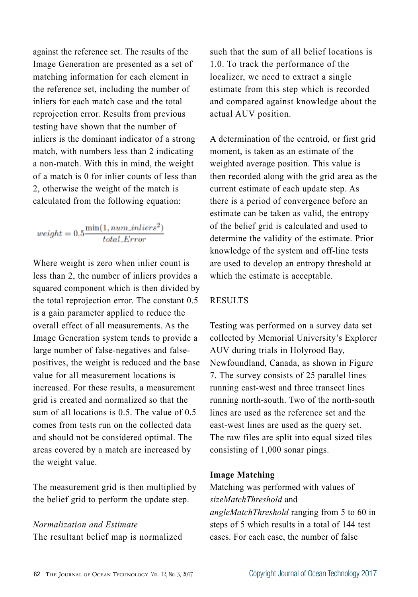against the reference set. The results of the Image Generation are presented as a set of matching information for each element in the reference set, including the number of inliers for each match case and the total reprojection error. Results from previous testing have shown that the number of inliers is the dominant indicator of a strong match, with numbers less than 2 indicating a non-match. With this in mind, the weight of a match is 0 for inlier counts of less than 2, otherwise the weight of the match is calculated from the following equation:

$$
weight = 0.5 \frac{\min(1, num\_inliers^2)}{total\_Error}
$$

Where weight is zero when inlier count is less than 2, the number of inliers provides a squared component which is then divided by the total reprojection error. The constant 0.5 is a gain parameter applied to reduce the overall effect of all measurements. As the Image Generation system tends to provide a large number of false-negatives and falsepositives, the weight is reduced and the base value for all measurement locations is increased. For these results, a measurement grid is created and normalized so that the sum of all locations is 0.5. The value of 0.5 comes from tests run on the collected data and should not be considered optimal. The areas covered by a match are increased by the weight value.

The measurement grid is then multiplied by the belief grid to perform the update step.

# *Normalization and Estimate*

The resultant belief map is normalized

such that the sum of all belief locations is 1.0. To track the performance of the localizer, we need to extract a single estimate from this step which is recorded and compared against knowledge about the actual AUV position.

A determination of the centroid, or first grid moment, is taken as an estimate of the weighted average position. This value is then recorded along with the grid area as the current estimate of each update step. As there is a period of convergence before an estimate can be taken as valid, the entropy of the belief grid is calculated and used to determine the validity of the estimate. Prior knowledge of the system and off-line tests are used to develop an entropy threshold at which the estimate is acceptable.

# RESULTS

Testing was performed on a survey data set collected by Memorial University's Explorer AUV during trials in Holyrood Bay, Newfoundland, Canada, as shown in Figure 7. The survey consists of 25 parallel lines running east-west and three transect lines running north-south. Two of the north-south lines are used as the reference set and the east-west lines are used as the query set. The raw files are split into equal sized tiles consisting of 1,000 sonar pings.

# **Image Matching**

Matching was performed with values of *sizeMatchThreshold* and *angleMatchThreshold* ranging from 5 to 60 in steps of 5 which results in a total of 144 test cases. For each case, the number of false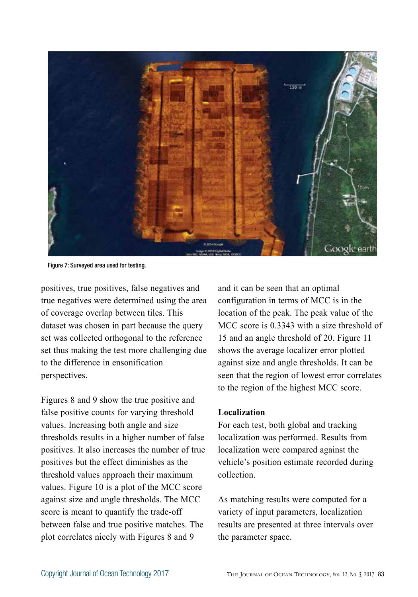

Figure 7: Surveyed area used for testing.

positives, true positives, false negatives and true negatives were determined using the area of coverage overlap between tiles. This dataset was chosen in part because the query set was collected orthogonal to the reference set thus making the test more challenging due to the difference in ensonification perspectives.

Figures 8 and 9 show the true positive and false positive counts for varying threshold values. Increasing both angle and size thresholds results in a higher number of false positives. It also increases the number of true positives but the effect diminishes as the threshold values approach their maximum values. Figure 10 is a plot of the MCC score against size and angle thresholds. The MCC score is meant to quantify the trade-off between false and true positive matches. The plot correlates nicely with Figures 8 and 9

and it can be seen that an optimal configuration in terms of MCC is in the location of the peak. The peak value of the MCC score is 0.3343 with a size threshold of 15 and an angle threshold of 20. Figure 11 shows the average localizer error plotted against size and angle thresholds. It can be seen that the region of lowest error correlates to the region of the highest MCC score.

#### **Localization**

For each test, both global and tracking localization was performed. Results from localization were compared against the vehicle's position estimate recorded during collection.

As matching results were computed for a variety of input parameters, localization results are presented at three intervals over the parameter space.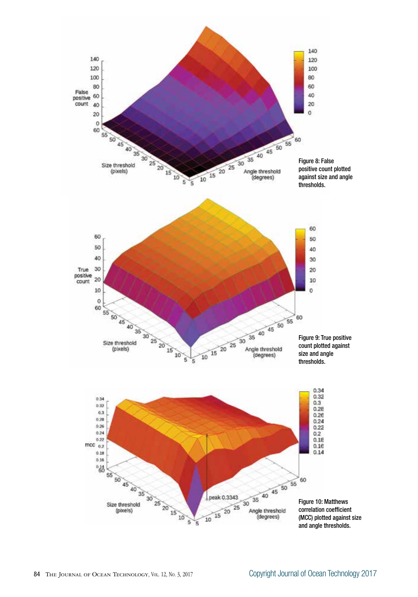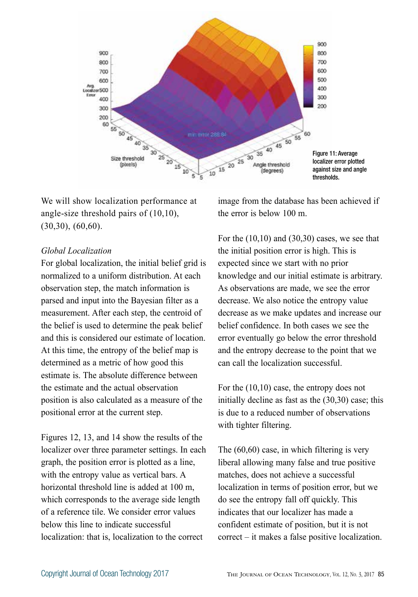

We will show localization performance at angle-size threshold pairs of (10,10), (30,30), (60,60).

# *Global Localization*

For global localization, the initial belief grid is normalized to a uniform distribution. At each observation step, the match information is parsed and input into the Bayesian filter as a measurement. After each step, the centroid of the belief is used to determine the peak belief and this is considered our estimate of location. At this time, the entropy of the belief map is determined as a metric of how good this estimate is. The absolute difference between the estimate and the actual observation position is also calculated as a measure of the positional error at the current step.

Figures 12, 13, and 14 show the results of the localizer over three parameter settings. In each graph, the position error is plotted as a line, with the entropy value as vertical bars. A horizontal threshold line is added at 100 m, which corresponds to the average side length of a reference tile. We consider error values below this line to indicate successful localization: that is, localization to the correct

image from the database has been achieved if the error is below 100 m.

For the  $(10,10)$  and  $(30,30)$  cases, we see that the initial position error is high. This is expected since we start with no prior knowledge and our initial estimate is arbitrary. As observations are made, we see the error decrease. We also notice the entropy value decrease as we make updates and increase our belief confidence. In both cases we see the error eventually go below the error threshold and the entropy decrease to the point that we can call the localization successful.

For the (10,10) case, the entropy does not initially decline as fast as the (30,30) case; this is due to a reduced number of observations with tighter filtering.

The (60,60) case, in which filtering is very liberal allowing many false and true positive matches, does not achieve a successful localization in terms of position error, but we do see the entropy fall off quickly. This indicates that our localizer has made a confident estimate of position, but it is not correct – it makes a false positive localization.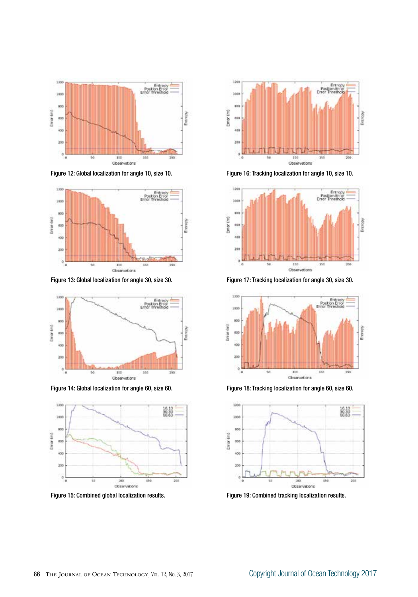

Figure 12: Global localization for angle 10, size 10.



Figure 13: Global localization for angle 30, size 30.



Figure 14: Global localization for angle 60, size 60.



Figure 15: Combined global localization results.



Figure 16: Tracking localization for angle 10, size 10.



Figure 17: Tracking localization for angle 30, size 30.



Figure 18: Tracking localization for angle 60, size 60.



Figure 19: Combined tracking localization results.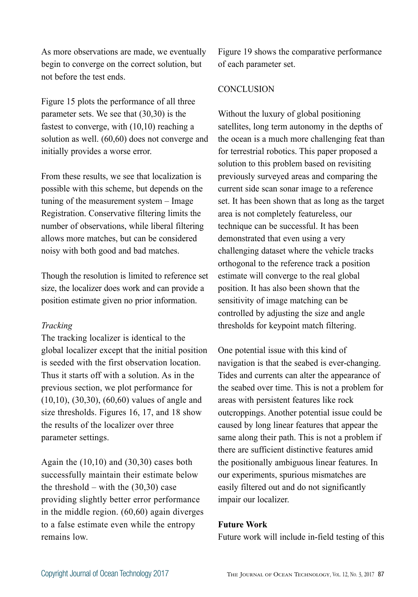As more observations are made, we eventually begin to converge on the correct solution, but not before the test ends.

Figure 15 plots the performance of all three parameter sets. We see that (30,30) is the fastest to converge, with (10,10) reaching a solution as well. (60,60) does not converge and initially provides a worse error.

From these results, we see that localization is possible with this scheme, but depends on the tuning of the measurement system – Image Registration. Conservative filtering limits the number of observations, while liberal filtering allows more matches, but can be considered noisy with both good and bad matches.

Though the resolution is limited to reference set size, the localizer does work and can provide a position estimate given no prior information.

# *Tracking*

The tracking localizer is identical to the global localizer except that the initial position is seeded with the first observation location. Thus it starts off with a solution. As in the previous section, we plot performance for (10,10), (30,30), (60,60) values of angle and size thresholds. Figures 16, 17, and 18 show the results of the localizer over three parameter settings.

Again the (10,10) and (30,30) cases both successfully maintain their estimate below the threshold – with the  $(30,30)$  case providing slightly better error performance in the middle region. (60,60) again diverges to a false estimate even while the entropy remains low.

Figure 19 shows the comparative performance of each parameter set.

# **CONCLUSION**

Without the luxury of global positioning satellites, long term autonomy in the depths of the ocean is a much more challenging feat than for terrestrial robotics. This paper proposed a solution to this problem based on revisiting previously surveyed areas and comparing the current side scan sonar image to a reference set. It has been shown that as long as the target area is not completely featureless, our technique can be successful. It has been demonstrated that even using a very challenging dataset where the vehicle tracks orthogonal to the reference track a position estimate will converge to the real global position. It has also been shown that the sensitivity of image matching can be controlled by adjusting the size and angle thresholds for keypoint match filtering.

One potential issue with this kind of navigation is that the seabed is ever-changing. Tides and currents can alter the appearance of the seabed over time. This is not a problem for areas with persistent features like rock outcroppings. Another potential issue could be caused by long linear features that appear the same along their path. This is not a problem if there are sufficient distinctive features amid the positionally ambiguous linear features. In our experiments, spurious mismatches are easily filtered out and do not significantly impair our localizer.

# **Future Work**

Future work will include in-field testing of this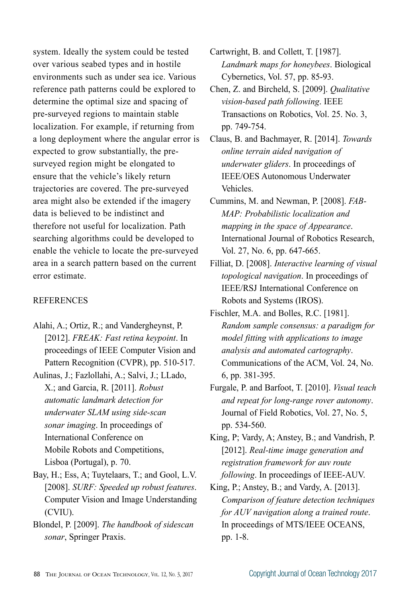system. Ideally the system could be tested over various seabed types and in hostile environments such as under sea ice. Various reference path patterns could be explored to determine the optimal size and spacing of pre-surveyed regions to maintain stable localization. For example, if returning from a long deployment where the angular error is expected to grow substantially, the presurveyed region might be elongated to ensure that the vehicle's likely return trajectories are covered. The pre-surveyed area might also be extended if the imagery data is believed to be indistinct and therefore not useful for localization. Path searching algorithms could be developed to enable the vehicle to locate the pre-surveyed area in a search pattern based on the current error estimate.

#### **REFERENCES**

Alahi, A.; Ortiz, R.; and Vandergheynst, P. [2012]. *FREAK: Fast retina keypoint*. In proceedings of IEEE Computer Vision and Pattern Recognition (CVPR), pp. 510-517.

Aulinas, J.; Fazlollahi, A.; Salvi, J.; LLado, X.; and Garcia, R. [2011]. *Robust automatic landmark detection for underwater SLAM using side-scan sonar imaging*. In proceedings of International Conference on Mobile Robots and Competitions, Lisboa (Portugal), p. 70.

- Bay, H.; Ess, A; Tuytelaars, T.; and Gool, L.V. [2008]. *SURF: Speeded up robust features*. Computer Vision and Image Understanding (CVIU).
- Blondel, P. [2009]. *The handbook of sidescan sonar*, Springer Praxis.

Cartwright, B. and Collett, T. [1987]. *Landmark maps for honeybees*. Biological Cybernetics, Vol. 57, pp. 85-93.

Chen, Z. and Bircheld, S. [2009]. *Qualitative vision-based path following*. IEEE Transactions on Robotics, Vol. 25. No. 3, pp. 749-754.

Claus, B. and Bachmayer, R. [2014]. *Towards online terrain aided navigation of underwater gliders*. In proceedings of IEEE/OES Autonomous Underwater Vehicles.

Cummins, M. and Newman, P. [2008]. *FAB-MAP: Probabilistic localization and mapping in the space of Appearance*. International Journal of Robotics Research, Vol. 27, No. 6, pp. 647-665.

Filliat, D. [2008]. *Interactive learning of visual topological navigation*. In proceedings of IEEE/RSJ International Conference on Robots and Systems (IROS).

Fischler, M.A. and Bolles, R.C. [1981]. *Random sample consensus: a paradigm for model fitting with applications to image analysis and automated cartography*. Communications of the ACM, Vol. 24, No. 6, pp. 381-395.

Furgale, P. and Barfoot, T. [2010]. *Visual teach and repeat for long-range rover autonomy*. Journal of Field Robotics, Vol. 27, No. 5, pp. 534-560.

King, P; Vardy, A; Anstey, B.; and Vandrish, P. [2012]. *Real-time image generation and registration framework for auv route following*. In proceedings of IEEE-AUV.

King, P.; Anstey, B.; and Vardy, A. [2013]. *Comparison of feature detection techniques for AUV navigation along a trained route*. In proceedings of MTS/IEEE OCEANS, pp. 1-8.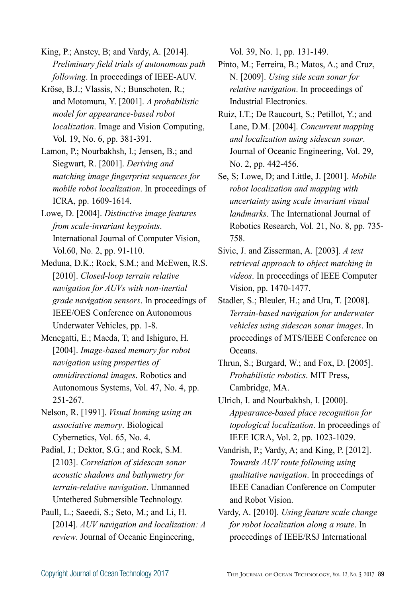King, P.; Anstey, B; and Vardy, A. [2014]. *Preliminary field trials of autonomous path following*. In proceedings of IEEE-AUV.

- Kröse, B.J.; Vlassis, N.; Bunschoten, R.; and Motomura, Y. [2001]. *A probabilistic model for appearance-based robot localization*. Image and Vision Computing, Vol. 19, No. 6, pp. 381-391.
- Lamon, P.; Nourbakhsh, I.; Jensen, B.; and Siegwart, R. [2001]. *Deriving and matching image fingerprint sequences for mobile robot localization*. In proceedings of ICRA, pp. 1609-1614.
- Lowe, D. [2004]. *Distinctive image features from scale-invariant keypoints*. International Journal of Computer Vision, Vol.60, No. 2, pp. 91-110.
- Meduna, D.K.; Rock, S.M.; and McEwen, R.S. [2010]. *Closed-loop terrain relative navigation for AUVs with non-inertial grade navigation sensors*. In proceedings of IEEE/OES Conference on Autonomous Underwater Vehicles, pp. 1-8.
- Menegatti, E.; Maeda, T; and Ishiguro, H. [2004]. *Image-based memory for robot navigation using properties of omnidirectional images*. Robotics and Autonomous Systems, Vol. 47, No. 4, pp. 251-267.
- Nelson, R. [1991]. *Visual homing using an associative memory*. Biological Cybernetics, Vol. 65, No. 4.
- Padial, J.; Dektor, S.G.; and Rock, S.M. [2103]. *Correlation of sidescan sonar acoustic shadows and bathymetry for terrain-relative navigation*. Unmanned Untethered Submersible Technology.
- Paull, L.; Saeedi, S.; Seto, M.; and Li, H. [2014]. *AUV navigation and localization: A review*. Journal of Oceanic Engineering,

Vol. 39, No. 1, pp. 131-149.

- Pinto, M.; Ferreira, B.; Matos, A.; and Cruz, N. [2009]. *Using side scan sonar for relative navigation*. In proceedings of Industrial Electronics.
- Ruiz, I.T.; De Raucourt, S.; Petillot, Y.; and Lane, D.M. [2004]. *Concurrent mapping and localization using sidescan sonar*. Journal of Oceanic Engineering, Vol. 29, No. 2, pp. 442-456.
- Se, S; Lowe, D; and Little, J. [2001]. *Mobile robot localization and mapping with uncertainty using scale invariant visual landmarks*. The International Journal of Robotics Research, Vol. 21, No. 8, pp. 735- 758.
- Sivic, J. and Zisserman, A. [2003]. *A text retrieval approach to object matching in videos*. In proceedings of IEEE Computer Vision, pp. 1470-1477.
- Stadler, S.; Bleuler, H.; and Ura, T. [2008]. *Terrain-based navigation for underwater vehicles using sidescan sonar images*. In proceedings of MTS/IEEE Conference on Oceans.
- Thrun, S.; Burgard, W.; and Fox, D. [2005]. *Probabilistic robotics*. MIT Press, Cambridge, MA.
- Ulrich, I. and Nourbakhsh, I. [2000]. *Appearance-based place recognition for topological localization*. In proceedings of IEEE ICRA, Vol. 2, pp. 1023-1029.
- Vandrish, P.; Vardy, A; and King, P. [2012]. *Towards AUV route following using qualitative navigation*. In proceedings of IEEE Canadian Conference on Computer and Robot Vision.
- Vardy, A. [2010]. *Using feature scale change for robot localization along a route*. In proceedings of IEEE/RSJ International